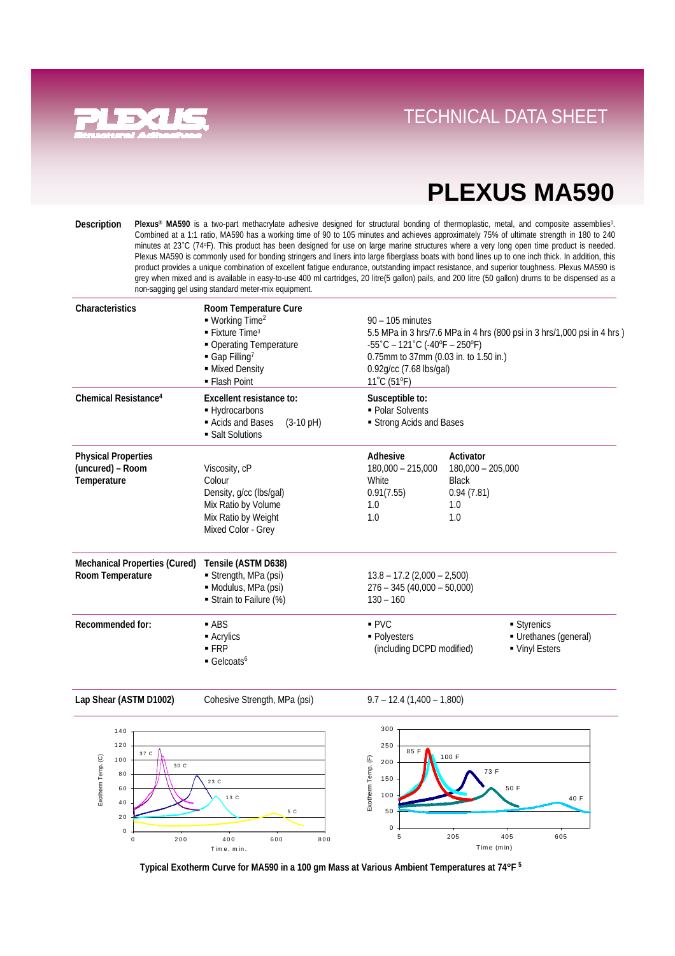

### **Direct Links Convenience With Tray System** TECHNICAL DATA SHEET

## **PLEXUS MA590**

**Plexus® MA590** is a two-part methacrylate adhesive designed for structural bonding of thermoplastic, metal, and composite assemblies1. Combined at a 1:1 ratio, MA590 has a working time of 90 to 105 minutes and achieves approximately 75% of ultimate strength in 180 to 240 minutes at 23˚C (74oF). This product has been designed for use on large marine structures where a very long open time product is needed. Plexus MA590 is commonly used for bonding stringers and liners into large fiberglass boats with bond lines up to one inch thick. In addition, this product provides a unique combination of excellent fatigue endurance, outstanding impact resistance, and superior toughness. Plexus MA590 is grey when mixed and is available in easy-to-use 400 ml cartridges, 20 litre(5 gallon) pails, and 200 litre (50 gallon) drums to be dispensed as a non-sagging gel using standard meter-mix equipment. **Description**

| Characteristics                                               | Room Temperature Cure<br>$\blacksquare$ Working Time <sup>2</sup><br>$\blacksquare$ Fixture Time <sup>3</sup><br>• Operating Temperature<br>$\blacksquare$ Gap Filling <sup>7</sup><br>- Mixed Density<br>• Flash Point | $90 - 105$ minutes<br>5.5 MPa in 3 hrs/7.6 MPa in 4 hrs (800 psi in 3 hrs/1,000 psi in 4 hrs)<br>$-55^{\circ}$ C – 121 $^{\circ}$ C (-40 $^{\circ}$ F – 250 $^{\circ}$ F)<br>0.75mm to 37mm (0.03 in. to 1.50 in.)<br>0.92g/cc (7.68 lbs/gal)<br>11°C (51°F) |                                                                              |                                                    |
|---------------------------------------------------------------|-------------------------------------------------------------------------------------------------------------------------------------------------------------------------------------------------------------------------|--------------------------------------------------------------------------------------------------------------------------------------------------------------------------------------------------------------------------------------------------------------|------------------------------------------------------------------------------|----------------------------------------------------|
| Chemical Resistance <sup>4</sup>                              | Excellent resistance to:<br>- Hydrocarbons<br>Acids and Bases<br>$(3-10 \text{ pH})$<br>• Salt Solutions                                                                                                                | Susceptible to:<br>• Polar Solvents<br>Strong Acids and Bases                                                                                                                                                                                                |                                                                              |                                                    |
| <b>Physical Properties</b><br>(uncured) - Room<br>Temperature | Viscosity, cP<br>Colour<br>Density, g/cc (lbs/gal)<br>Mix Ratio by Volume<br>Mix Ratio by Weight<br>Mixed Color - Grey                                                                                                  | Adhesive<br>$180,000 - 215,000$<br>White<br>0.91(7.55)<br>1.0<br>1.0                                                                                                                                                                                         | Activator<br>$180,000 - 205,000$<br><b>Black</b><br>0.94(7.81)<br>1.0<br>1.0 |                                                    |
| <b>Mechanical Properties (Cured)</b><br>Room Temperature      | Tensile (ASTM D638)<br>Strength, MPa (psi)<br>· Modulus, MPa (psi)<br>Strain to Failure (%)                                                                                                                             | $13.8 - 17.2$ (2,000 - 2,500)<br>$276 - 345(40,000 - 50,000)$<br>$130 - 160$                                                                                                                                                                                 |                                                                              |                                                    |
| Recommended for:                                              | $-$ ABS<br>■ Acrylics<br>$-FRP$<br>$\blacksquare$ Gelcoats <sup>6</sup>                                                                                                                                                 | PVC<br>· Polyesters<br>(including DCPD modified)                                                                                                                                                                                                             |                                                                              | Styrenics<br>Urethanes (general)<br>• Vinyl Esters |

**Lap Shear (ASTM D1002)** Cohesive Strength, MPa (psi) 9.7 – 12.4 (1,400 – 1,800)



**Typical Exotherm Curve for MA590 in a 100 gm Mass at Various Ambient Temperatures at 74**°**F 5**